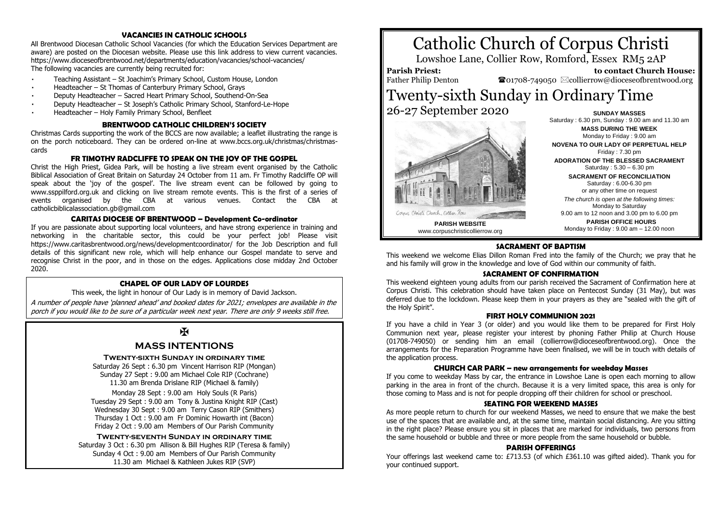## **VACANCIES IN CATHOLIC SCHOOLS**

All Brentwood Diocesan Catholic School Vacancies (for which the Education Services Department are aware) are posted on the Diocesan website. Please use this link address to view current vacancies. <https://www.dioceseofbrentwood.net/departments/education/vacancies/school-vacancies/> The following vacancies are currently being recruited for:

- Teaching Assistant [St Joachim's Primary School, Custom House, London](https://www.dioceseofbrentwood.net/wp-content/uploads/2020/09/2020-09-08_Teaching-Assistant-Advert-Sept-2020-St-Joachims.pdf)
- Headteacher [St Thomas of Canterbury Primary School, Grays](https://www.dioceseofbrentwood.net/wp-content/uploads/2020/09/St-Thomas-of-Canterbury-Grays-HT-Job-Advert.pdf)
- Deputy Headteacher [Sacred Heart Primary School, Southend-On-Sea](https://www.dioceseofbrentwood.net/wp-content/uploads/2020/09/Sacred-Heart-Southend-On-Sea-DHT-Job-Advert.pdf)
- Deputy Headteacher St [Joseph's Catholic Primary School, Stanford](https://www.dioceseofbrentwood.net/wp-content/uploads/2020/09/St-Josephs-Stanford-Le-Hope-DHT-Job-Advert-1.pdf)-Le-Hope
- Headteacher [Holy Family Primary School, Benfleet](https://www.dioceseofbrentwood.net/wp-content/uploads/2020/09/Holy-Family-Benfleet-HT-Job-Advert.pdf)

## **BRENTWOOD CATHOLIC CHILDREN'S SOCIETY**

Christmas Cards supporting the work of the BCCS are now available; a leaflet illustrating the range is on the porch noticeboard. They can be ordered on-line at www.bccs.org.uk/christmas/christmascards

## **FR TIMOTHY RADCLIFFE TO SPEAK ON THE JOY OF THE GOSPEL**

Christ the High Priest, Gidea Park, will be hosting a live stream event organised by the Catholic Biblical Association of Great Britain on Saturday 24 October from 11 am. Fr Timothy Radcliffe OP will speak about the 'joy of the gospel'. The live stream event can be followed by going to www.ssppilford.org.uk and clicking on live stream remote events. This is the first of a series of events organised by the CBA at various venues. Contact the CBA at catholicbiblicalassociation.gb@gmail.com

## **CARITAS DIOCESE OF BRENTWOOD – Development Co-ordinator**

If you are passionate about supporting local volunteers, and have strong experience in training and networking in the charitable sector, this could be your perfect job! Please visit https://www.caritasbrentwood.org/news/developmentcoordinator/ for the Job Description and full details of this significant new role, which will help enhance our Gospel mandate to serve and recognise Christ in the poor, and in those on the edges. Applications close midday 2nd October 2020.

## **CHAPEL OF OUR LADY OF LOURDES**

This week, the light in honour of Our Lady is in memory of David Jackson.

A number of people have 'planned ahead' and booked dates for 2021; envelopes are available in the porch if you would like to be sure of a particular week next year. There are only 9 weeks still free.

 $\overline{\mathbf{M}}$ 

## **MASS INTENTIONS**

#### **Twenty-sixth Sunday in ordinary time**

Saturday 26 Sept : 6.30 pm Vincent Harrison RIP (Mongan) Sunday 27 Sept : 9.00 am Michael Cole RIP (Cochrane) 11.30 am Brenda Drislane RIP (Michael & family)

Monday 28 Sept : 9.00 am Holy Souls (R Paris) Tuesday 29 Sept : 9.00 am Tony & Justina Knight RIP (Cast) Wednesday 30 Sept : 9.00 am Terry Cason RIP (Smithers) Thursday 1 Oct : 9.00 am Fr Dominic Howarth int (Bacon) Friday 2 Oct : 9.00 am Members of Our Parish Community

**Twenty-seventh Sunday in ordinary time** Saturday 3 Oct : 6.30 pm Allison & Bill Hughes RIP (Teresa & family) Sunday 4 Oct : 9.00 am Members of Our Parish Community 11.30 am Michael & Kathleen Jukes RIP (SVP)





**NOVENA TO OUR LADY OF PERPETUAL HELP** Friday : 7.30 pm **ADORATION OF THE BLESSED SACRAMENT** Saturday : 5.30 – 6.30 pm

**SACRAMENT OF RECONCILIATION**

Saturday : 6.00-6.30 pm or any other time on request *The church is open at the following times:* Monday to Saturday

9.00 am to 12 noon and 3.00 pm to 6.00 pm **PARISH OFFICE HOURS**

Monday to Friday : 9.00 am – 12.00 noon

## **SACRAMENT OF BAPTISM**

This weekend we welcome Elias Dillon Roman Fred into the family of the Church; we pray that he and his family will grow in the knowledge and love of God within our community of faith.

## **SACRAMENT OF CONFIRMATION**

This weekend eighteen young adults from our parish received the Sacrament of Confirmation here at Corpus Christi. This celebration should have taken place on Pentecost Sunday (31 May), but was deferred due to the lockdown. Please keep them in your prayers as they are "sealed with the gift of the Holy Spirit".

#### **FIRST HOLY COMMUNION 2021**

If you have a child in Year 3 (or older) and you would like them to be prepared for First Holy Communion next year, please register your interest by phoning Father Philip at Church House (01708-749050) or sending him an email (collierrow@dioceseofbrentwood.org). Once the arrangements for the Preparation Programme have been finalised, we will be in touch with details of the application process.

#### **CHURCH CAR PARK – new arrangements for weekday Masses**

If you come to weekday Mass by car, the entrance in Lowshoe Lane is open each morning to allow parking in the area in front of the church. Because it is a very limited space, this area is only for those coming to Mass and is not for people dropping off their children for school or preschool.

## **SEATING FOR WEEKEND MASSES**

As more people return to church for our weekend Masses, we need to ensure that we make the best use of the spaces that are available and, at the same time, maintain social distancing. Are you sitting in the right place? Please ensure you sit in places that are marked for individuals, two persons from the same household or bubble and three or more people from the same household or bubble.

#### **PARISH OFFERINGS**

Your offerings last weekend came to: £713.53 (of which £361.10 was gifted aided). Thank you for your continued support.